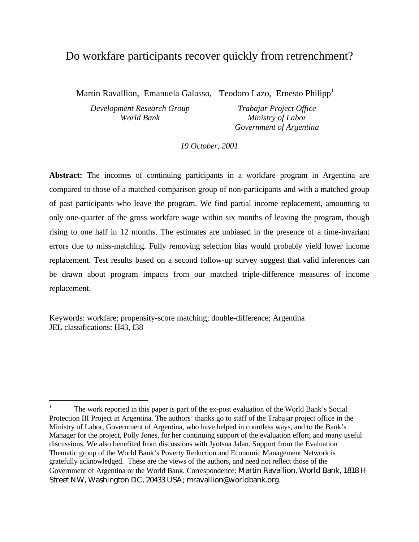## Do workfare participants recover quickly from retrenchment?

Martin Ravallion, Emanuela Galasso, Teodoro Lazo, Ernesto Philipp<sup>1</sup>

*Development Research Group World Bank*

*Trabajar Project Office Ministry of Labor Government of Argentina*

*19 October, 2001*

**Abstract:** The incomes of continuing participants in a workfare program in Argentina are compared to those of a matched comparison group of non-participants and with a matched group of past participants who leave the program. We find partial income replacement, amounting to only one-quarter of the gross workfare wage within six months of leaving the program, though rising to one half in 12 months. The estimates are unbiased in the presence of a time-invariant errors due to miss-matching. Fully removing selection bias would probably yield lower income replacement. Test results based on a second follow-up survey suggest that valid inferences can be drawn about program impacts from our matched triple-difference measures of income replacement.

Keywords: workfare; propensity-score matching; double-difference; Argentina JEL classifications: H43, I38

-

<sup>1</sup> The work reported in this paper is part of the ex-post evaluation of the World Bank's Social Protection III Project in Argentina. The authors' thanks go to staff of the Trabajar project office in the Ministry of Labor, Government of Argentina, who have helped in countless ways, and to the Bank's Manager for the project, Polly Jones, for her continuing support of the evaluation effort, and many useful discussions. We also benefited from discussions with Jyotsna Jalan. Support from the Evaluation Thematic group of the World Bank's Poverty Reduction and Economic Management Network is gratefully acknowledged. These are the views of the authors, and need not reflect those of the Government of Argentina or the World Bank. Correspondence: Martin Ravallion, World Bank, 1818 H Street NW, Washington DC, 20433 USA; mravallion@worldbank.org.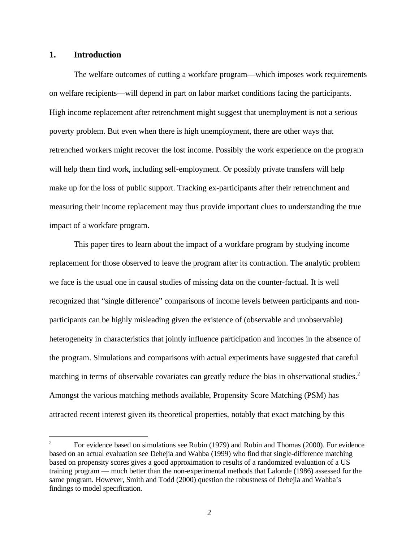#### **1. Introduction**

The welfare outcomes of cutting a workfare program—which imposes work requirements on welfare recipients—will depend in part on labor market conditions facing the participants. High income replacement after retrenchment might suggest that unemployment is not a serious poverty problem. But even when there is high unemployment, there are other ways that retrenched workers might recover the lost income. Possibly the work experience on the program will help them find work, including self-employment. Or possibly private transfers will help make up for the loss of public support. Tracking ex-participants after their retrenchment and measuring their income replacement may thus provide important clues to understanding the true impact of a workfare program.

This paper tires to learn about the impact of a workfare program by studying income replacement for those observed to leave the program after its contraction. The analytic problem we face is the usual one in causal studies of missing data on the counter-factual. It is well recognized that "single difference" comparisons of income levels between participants and nonparticipants can be highly misleading given the existence of (observable and unobservable) heterogeneity in characteristics that jointly influence participation and incomes in the absence of the program. Simulations and comparisons with actual experiments have suggested that careful matching in terms of observable covariates can greatly reduce the bias in observational studies.<sup>2</sup> Amongst the various matching methods available, Propensity Score Matching (PSM) has attracted recent interest given its theoretical properties, notably that exact matching by this

 $\frac{1}{2}$ For evidence based on simulations see Rubin (1979) and Rubin and Thomas (2000). For evidence based on an actual evaluation see Dehejia and Wahba (1999) who find that single-difference matching based on propensity scores gives a good approximation to results of a randomized evaluation of a US training program — much better than the non-experimental methods that Lalonde (1986) assessed for the same program. However, Smith and Todd (2000) question the robustness of Dehejia and Wahba's findings to model specification.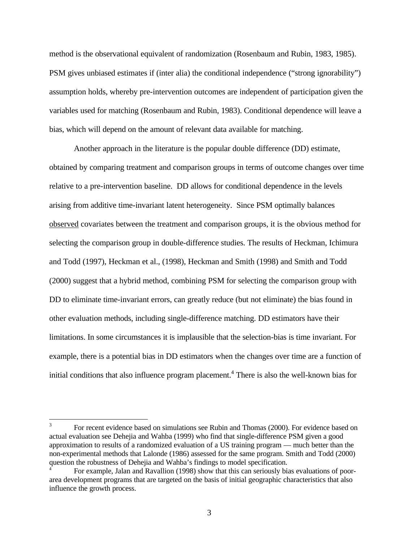method is the observational equivalent of randomization (Rosenbaum and Rubin, 1983, 1985). PSM gives unbiased estimates if (inter alia) the conditional independence ("strong ignorability") assumption holds, whereby pre-intervention outcomes are independent of participation given the variables used for matching (Rosenbaum and Rubin, 1983). Conditional dependence will leave a bias, which will depend on the amount of relevant data available for matching.

Another approach in the literature is the popular double difference (DD) estimate, obtained by comparing treatment and comparison groups in terms of outcome changes over time relative to a pre-intervention baseline. DD allows for conditional dependence in the levels arising from additive time-invariant latent heterogeneity. Since PSM optimally balances observed covariates between the treatment and comparison groups, it is the obvious method for selecting the comparison group in double-difference studies. The results of Heckman, Ichimura and Todd (1997), Heckman et al., (1998), Heckman and Smith (1998) and Smith and Todd (2000) suggest that a hybrid method, combining PSM for selecting the comparison group with DD to eliminate time-invariant errors, can greatly reduce (but not eliminate) the bias found in other evaluation methods, including single-difference matching. DD estimators have their limitations. In some circumstances it is implausible that the selection-bias is time invariant. For example, there is a potential bias in DD estimators when the changes over time are a function of initial conditions that also influence program placement.<sup>4</sup> There is also the well-known bias for

 $\frac{1}{3}$ For recent evidence based on simulations see Rubin and Thomas (2000). For evidence based on actual evaluation see Dehejia and Wahba (1999) who find that single-difference PSM given a good approximation to results of a randomized evaluation of a US training program — much better than the non-experimental methods that Lalonde (1986) assessed for the same program. Smith and Todd (2000) question the robustness of Dehejia and Wahba's findings to model specification.

<sup>4</sup> For example, Jalan and Ravallion (1998) show that this can seriously bias evaluations of poorarea development programs that are targeted on the basis of initial geographic characteristics that also influence the growth process.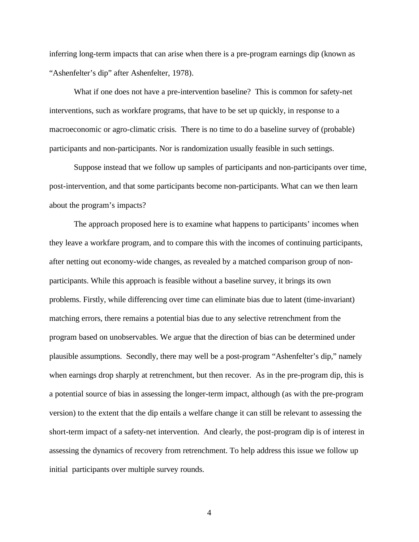inferring long-term impacts that can arise when there is a pre-program earnings dip (known as "Ashenfelter's dip" after Ashenfelter, 1978).

What if one does not have a pre-intervention baseline? This is common for safety-net interventions, such as workfare programs, that have to be set up quickly, in response to a macroeconomic or agro-climatic crisis. There is no time to do a baseline survey of (probable) participants and non-participants. Nor is randomization usually feasible in such settings.

Suppose instead that we follow up samples of participants and non-participants over time, post-intervention, and that some participants become non-participants. What can we then learn about the program's impacts?

The approach proposed here is to examine what happens to participants' incomes when they leave a workfare program, and to compare this with the incomes of continuing participants, after netting out economy-wide changes, as revealed by a matched comparison group of nonparticipants. While this approach is feasible without a baseline survey, it brings its own problems. Firstly, while differencing over time can eliminate bias due to latent (time-invariant) matching errors, there remains a potential bias due to any selective retrenchment from the program based on unobservables. We argue that the direction of bias can be determined under plausible assumptions. Secondly, there may well be a post-program "Ashenfelter's dip," namely when earnings drop sharply at retrenchment, but then recover. As in the pre-program dip, this is a potential source of bias in assessing the longer-term impact, although (as with the pre-program version) to the extent that the dip entails a welfare change it can still be relevant to assessing the short-term impact of a safety-net intervention. And clearly, the post-program dip is of interest in assessing the dynamics of recovery from retrenchment. To help address this issue we follow up initial participants over multiple survey rounds.

4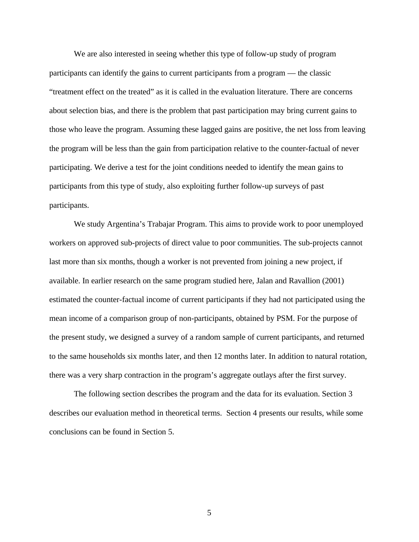We are also interested in seeing whether this type of follow-up study of program participants can identify the gains to current participants from a program — the classic "treatment effect on the treated" as it is called in the evaluation literature. There are concerns about selection bias, and there is the problem that past participation may bring current gains to those who leave the program. Assuming these lagged gains are positive, the net loss from leaving the program will be less than the gain from participation relative to the counter-factual of never participating. We derive a test for the joint conditions needed to identify the mean gains to participants from this type of study, also exploiting further follow-up surveys of past participants.

We study Argentina's Trabajar Program. This aims to provide work to poor unemployed workers on approved sub-projects of direct value to poor communities. The sub-projects cannot last more than six months, though a worker is not prevented from joining a new project, if available. In earlier research on the same program studied here, Jalan and Ravallion (2001) estimated the counter-factual income of current participants if they had not participated using the mean income of a comparison group of non-participants, obtained by PSM. For the purpose of the present study, we designed a survey of a random sample of current participants, and returned to the same households six months later, and then 12 months later. In addition to natural rotation, there was a very sharp contraction in the program's aggregate outlays after the first survey.

The following section describes the program and the data for its evaluation. Section 3 describes our evaluation method in theoretical terms. Section 4 presents our results, while some conclusions can be found in Section 5.

5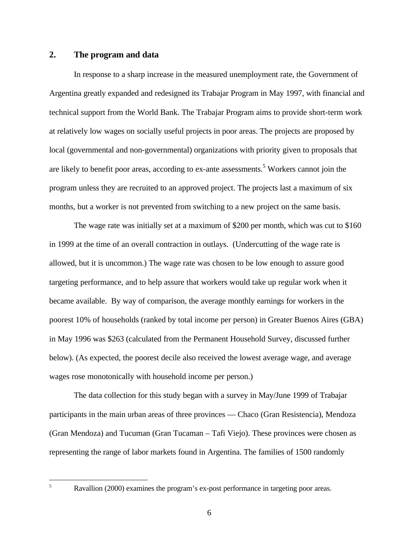#### **2. The program and data**

In response to a sharp increase in the measured unemployment rate, the Government of Argentina greatly expanded and redesigned its Trabajar Program in May 1997, with financial and technical support from the World Bank. The Trabajar Program aims to provide short-term work at relatively low wages on socially useful projects in poor areas. The projects are proposed by local (governmental and non-governmental) organizations with priority given to proposals that are likely to benefit poor areas, according to ex-ante assessments.<sup>5</sup> Workers cannot join the program unless they are recruited to an approved project. The projects last a maximum of six months, but a worker is not prevented from switching to a new project on the same basis.

The wage rate was initially set at a maximum of \$200 per month, which was cut to \$160 in 1999 at the time of an overall contraction in outlays. (Undercutting of the wage rate is allowed, but it is uncommon.) The wage rate was chosen to be low enough to assure good targeting performance, and to help assure that workers would take up regular work when it became available. By way of comparison, the average monthly earnings for workers in the poorest 10% of households (ranked by total income per person) in Greater Buenos Aires (GBA) in May 1996 was \$263 (calculated from the Permanent Household Survey, discussed further below). (As expected, the poorest decile also received the lowest average wage, and average wages rose monotonically with household income per person.)

The data collection for this study began with a survey in May/June 1999 of Trabajar participants in the main urban areas of three provinces — Chaco (Gran Resistencia), Mendoza (Gran Mendoza) and Tucuman (Gran Tucaman – Tafi Viejo). These provinces were chosen as representing the range of labor markets found in Argentina. The families of 1500 randomly

 $\overline{5}$ 

Ravallion (2000) examines the program's ex-post performance in targeting poor areas.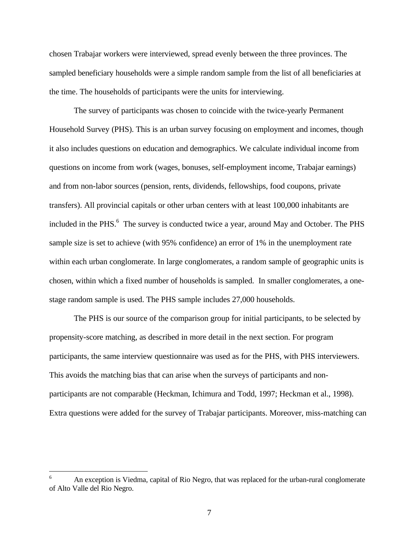chosen Trabajar workers were interviewed, spread evenly between the three provinces. The sampled beneficiary households were a simple random sample from the list of all beneficiaries at the time. The households of participants were the units for interviewing.

The survey of participants was chosen to coincide with the twice-yearly Permanent Household Survey (PHS). This is an urban survey focusing on employment and incomes, though it also includes questions on education and demographics. We calculate individual income from questions on income from work (wages, bonuses, self-employment income, Trabajar earnings) and from non-labor sources (pension, rents, dividends, fellowships, food coupons, private transfers). All provincial capitals or other urban centers with at least 100,000 inhabitants are included in the PHS.<sup>6</sup> The survey is conducted twice a year, around May and October. The PHS sample size is set to achieve (with 95% confidence) an error of 1% in the unemployment rate within each urban conglomerate. In large conglomerates, a random sample of geographic units is chosen, within which a fixed number of households is sampled. In smaller conglomerates, a onestage random sample is used. The PHS sample includes 27,000 households.

The PHS is our source of the comparison group for initial participants, to be selected by propensity-score matching, as described in more detail in the next section. For program participants, the same interview questionnaire was used as for the PHS, with PHS interviewers. This avoids the matching bias that can arise when the surveys of participants and nonparticipants are not comparable (Heckman, Ichimura and Todd, 1997; Heckman et al., 1998). Extra questions were added for the survey of Trabajar participants. Moreover, miss-matching can

 $\overline{a}$ 

<sup>6</sup> An exception is Viedma, capital of Rio Negro, that was replaced for the urban-rural conglomerate of Alto Valle del Rio Negro.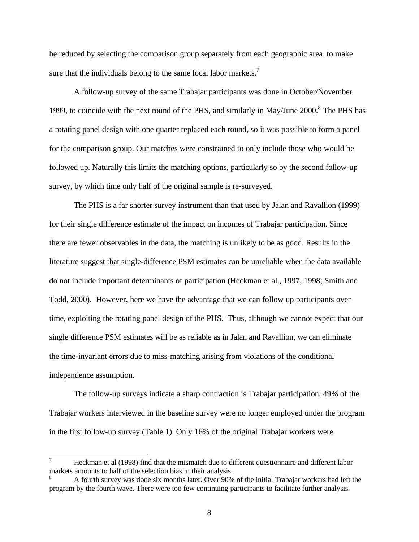be reduced by selecting the comparison group separately from each geographic area, to make sure that the individuals belong to the same local labor markets.<sup>7</sup>

A follow-up survey of the same Trabajar participants was done in October/November 1999, to coincide with the next round of the PHS, and similarly in May/June  $2000$ .<sup>8</sup> The PHS has a rotating panel design with one quarter replaced each round, so it was possible to form a panel for the comparison group. Our matches were constrained to only include those who would be followed up. Naturally this limits the matching options, particularly so by the second follow-up survey, by which time only half of the original sample is re-surveyed.

The PHS is a far shorter survey instrument than that used by Jalan and Ravallion (1999) for their single difference estimate of the impact on incomes of Trabajar participation. Since there are fewer observables in the data, the matching is unlikely to be as good. Results in the literature suggest that single-difference PSM estimates can be unreliable when the data available do not include important determinants of participation (Heckman et al., 1997, 1998; Smith and Todd, 2000). However, here we have the advantage that we can follow up participants over time, exploiting the rotating panel design of the PHS. Thus, although we cannot expect that our single difference PSM estimates will be as reliable as in Jalan and Ravallion, we can eliminate the time-invariant errors due to miss-matching arising from violations of the conditional independence assumption.

The follow-up surveys indicate a sharp contraction is Trabajar participation. 49% of the Trabajar workers interviewed in the baseline survey were no longer employed under the program in the first follow-up survey (Table 1). Only 16% of the original Trabajar workers were

<u>.</u>

Heckman et al (1998) find that the mismatch due to different questionnaire and different labor markets amounts to half of the selection bias in their analysis.

<sup>8</sup> A fourth survey was done six months later. Over 90% of the initial Trabajar workers had left the program by the fourth wave. There were too few continuing participants to facilitate further analysis.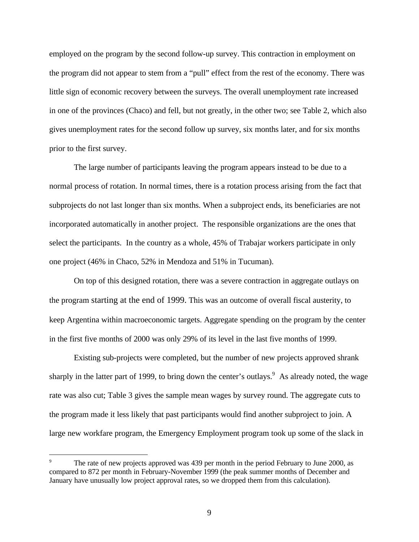employed on the program by the second follow-up survey. This contraction in employment on the program did not appear to stem from a "pull" effect from the rest of the economy. There was little sign of economic recovery between the surveys. The overall unemployment rate increased in one of the provinces (Chaco) and fell, but not greatly, in the other two; see Table 2, which also gives unemployment rates for the second follow up survey, six months later, and for six months prior to the first survey.

The large number of participants leaving the program appears instead to be due to a normal process of rotation. In normal times, there is a rotation process arising from the fact that subprojects do not last longer than six months. When a subproject ends, its beneficiaries are not incorporated automatically in another project. The responsible organizations are the ones that select the participants. In the country as a whole, 45% of Trabajar workers participate in only one project (46% in Chaco, 52% in Mendoza and 51% in Tucuman).

On top of this designed rotation, there was a severe contraction in aggregate outlays on the program starting at the end of 1999. This was an outcome of overall fiscal austerity, to keep Argentina within macroeconomic targets. Aggregate spending on the program by the center in the first five months of 2000 was only 29% of its level in the last five months of 1999.

Existing sub-projects were completed, but the number of new projects approved shrank sharply in the latter part of 1999, to bring down the center's outlays. As already noted, the wage rate was also cut; Table 3 gives the sample mean wages by survey round. The aggregate cuts to the program made it less likely that past participants would find another subproject to join. A large new workfare program, the Emergency Employment program took up some of the slack in

<u>.</u>

The rate of new projects approved was 439 per month in the period February to June 2000, as compared to 872 per month in February-November 1999 (the peak summer months of December and January have unusually low project approval rates, so we dropped them from this calculation).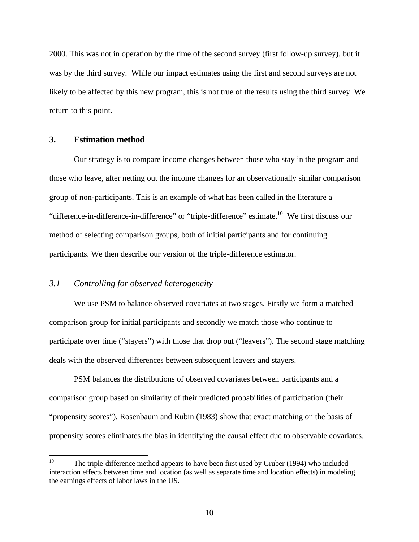2000. This was not in operation by the time of the second survey (first follow-up survey), but it was by the third survey. While our impact estimates using the first and second surveys are not likely to be affected by this new program, this is not true of the results using the third survey. We return to this point.

#### **3. Estimation method**

Our strategy is to compare income changes between those who stay in the program and those who leave, after netting out the income changes for an observationally similar comparison group of non-participants. This is an example of what has been called in the literature a "difference-in-difference-in-difference" or "triple-difference" estimate.<sup>10</sup> We first discuss our method of selecting comparison groups, both of initial participants and for continuing participants. We then describe our version of the triple-difference estimator.

### *3.1 Controlling for observed heterogeneity*

We use PSM to balance observed covariates at two stages. Firstly we form a matched comparison group for initial participants and secondly we match those who continue to participate over time ("stayers") with those that drop out ("leavers"). The second stage matching deals with the observed differences between subsequent leavers and stayers.

PSM balances the distributions of observed covariates between participants and a comparison group based on similarity of their predicted probabilities of participation (their "propensity scores"). Rosenbaum and Rubin (1983) show that exact matching on the basis of propensity scores eliminates the bias in identifying the causal effect due to observable covariates.

 $10<sup>°</sup>$ The triple-difference method appears to have been first used by Gruber (1994) who included interaction effects between time and location (as well as separate time and location effects) in modeling the earnings effects of labor laws in the US.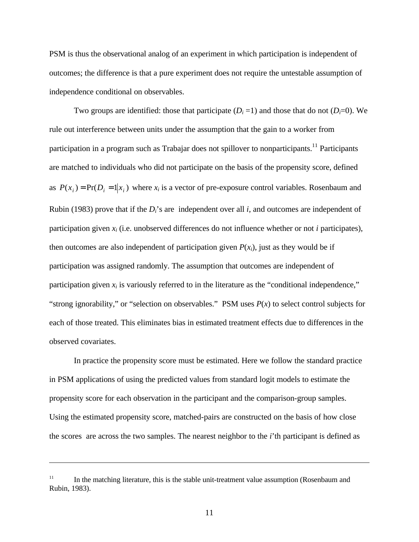PSM is thus the observational analog of an experiment in which participation is independent of outcomes; the difference is that a pure experiment does not require the untestable assumption of independence conditional on observables.

Two groups are identified: those that participate  $(D<sub>i</sub>=1)$  and those that do not  $(D<sub>i</sub>=0)$ . We rule out interference between units under the assumption that the gain to a worker from participation in a program such as Trabajar does not spillover to nonparticipants.<sup>11</sup> Participants are matched to individuals who did not participate on the basis of the propensity score, defined as  $P(x_i) = Pr(D_i = 1 | x_i)$  where  $x_i$  is a vector of pre-exposure control variables. Rosenbaum and Rubin (1983) prove that if the *Di*'s are independent over all *i*, and outcomes are independent of participation given *xi* (i.e. unobserved differences do not influence whether or not *i* participates), then outcomes are also independent of participation given  $P(x_i)$ , just as they would be if participation was assigned randomly. The assumption that outcomes are independent of participation given  $x_i$  is variously referred to in the literature as the "conditional independence," "strong ignorability," or "selection on observables." PSM uses  $P(x)$  to select control subjects for each of those treated. This eliminates bias in estimated treatment effects due to differences in the observed covariates.

In practice the propensity score must be estimated. Here we follow the standard practice in PSM applications of using the predicted values from standard logit models to estimate the propensity score for each observation in the participant and the comparison-group samples. Using the estimated propensity score, matched-pairs are constructed on the basis of how close the scores are across the two samples. The nearest neighbor to the *i*'th participant is defined as

<u>.</u>

<sup>&</sup>lt;sup>11</sup> In the matching literature, this is the stable unit-treatment value assumption (Rosenbaum and Rubin, 1983).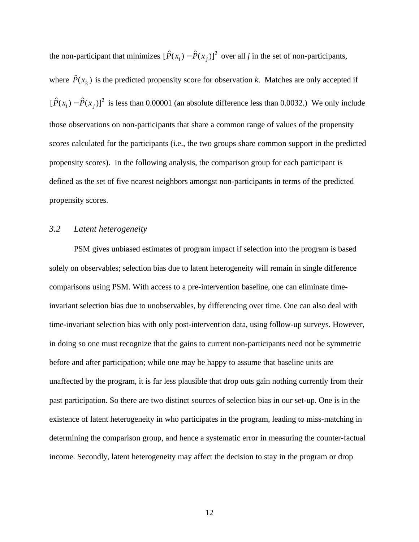the non-participant that minimizes  $[\hat{P}(x_i) - \hat{P}(x_j)]^2$  over all *j* in the set of non-participants, where  $\hat{P}(x_k)$  is the predicted propensity score for observation *k*. Matches are only accepted if  $[\hat{P}(x_i) - \hat{P}(x_j)]^2$  is less than 0.00001 (an absolute difference less than 0.0032.) We only include those observations on non-participants that share a common range of values of the propensity scores calculated for the participants (i.e., the two groups share common support in the predicted propensity scores). In the following analysis, the comparison group for each participant is defined as the set of five nearest neighbors amongst non-participants in terms of the predicted propensity scores.

#### *3.2 Latent heterogeneity*

PSM gives unbiased estimates of program impact if selection into the program is based solely on observables; selection bias due to latent heterogeneity will remain in single difference comparisons using PSM. With access to a pre-intervention baseline, one can eliminate timeinvariant selection bias due to unobservables, by differencing over time. One can also deal with time-invariant selection bias with only post-intervention data, using follow-up surveys. However, in doing so one must recognize that the gains to current non-participants need not be symmetric before and after participation; while one may be happy to assume that baseline units are unaffected by the program, it is far less plausible that drop outs gain nothing currently from their past participation. So there are two distinct sources of selection bias in our set-up. One is in the existence of latent heterogeneity in who participates in the program, leading to miss-matching in determining the comparison group, and hence a systematic error in measuring the counter-factual income. Secondly, latent heterogeneity may affect the decision to stay in the program or drop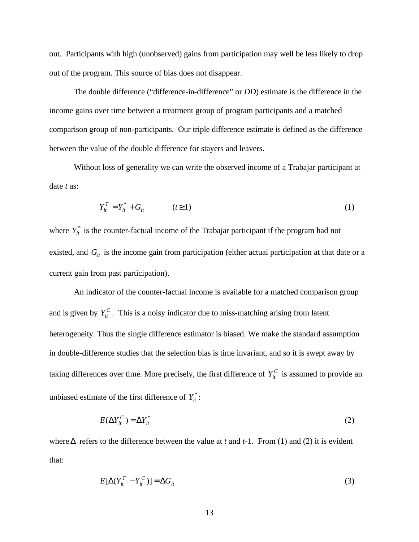out. Participants with high (unobserved) gains from participation may well be less likely to drop out of the program. This source of bias does not disappear.

The double difference ("difference-in-difference" or *DD*) estimate is the difference in the income gains over time between a treatment group of program participants and a matched comparison group of non-participants. Our triple difference estimate is defined as the difference between the value of the double difference for stayers and leavers.

Without loss of generality we can write the observed income of a Trabajar participant at date *t* as:

$$
Y_{it}^T = Y_{it}^* + G_{it} \qquad (t \ge 1)
$$
 (1)

where  $Y_{it}^*$  is the counter-factual income of the Trabajar participant if the program had not existed, and  $G_i$  is the income gain from participation (either actual participation at that date or a current gain from past participation).

An indicator of the counter-factual income is available for a matched comparison group and is given by  $Y_{it}^C$ . This is a noisy indicator due to miss-matching arising from latent heterogeneity. Thus the single difference estimator is biased. We make the standard assumption in double-difference studies that the selection bias is time invariant, and so it is swept away by taking differences over time. More precisely, the first difference of  $Y_i^C$  is assumed to provide an unbiased estimate of the first difference of  $Y_{it}^*$ :

$$
E(\Delta Y_{it}^C) = \Delta Y_{it}^* \tag{2}
$$

where  $\Delta$  refers to the difference between the value at *t* and *t*-1. From (1) and (2) it is evident that:

$$
E[\Delta(Y_{it}^T - Y_{it}^C)] = \Delta G_{it}
$$
\n(3)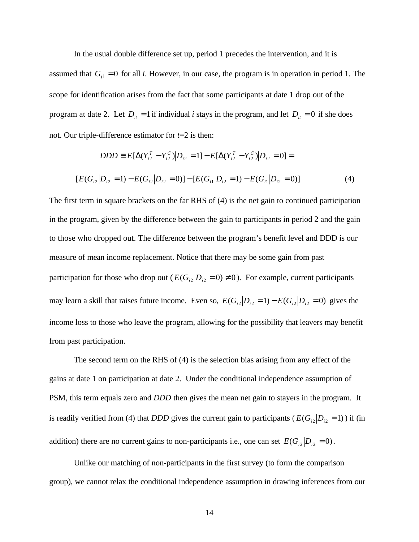In the usual double difference set up, period 1 precedes the intervention, and it is

assumed that  $G_i$ <sup> $=$ </sup> 0 for all *i*. However, in our case, the program is in operation in period 1. The scope for identification arises from the fact that some participants at date 1 drop out of the program at date 2. Let  $D_i = 1$  if individual *i* stays in the program, and let  $D_i = 0$  if she does not. Our triple-difference estimator for *t*=2 is then:

$$
DDD \equiv E[\Delta(Y_{i2}^T - Y_{i2}^C)|D_{i2} = 1] - E[\Delta(Y_{i2}^T - Y_{i2}^C)|D_{i2} = 0] =
$$
  
\n
$$
[E(G_{i2}|D_{i2} = 1) - E(G_{i2}|D_{i2} = 0)] - [E(G_{i1}|D_{i2} = 1) - E(G_{i1}|D_{i2} = 0)] \tag{4}
$$

The first term in square brackets on the far RHS of (4) is the net gain to continued participation in the program, given by the difference between the gain to participants in period 2 and the gain to those who dropped out. The difference between the program's benefit level and DDD is our measure of mean income replacement. Notice that there may be some gain from past participation for those who drop out ( $E(G_{i2}|D_{i2} = 0) \neq 0$ ). For example, current participants may learn a skill that raises future income. Even so,  $E(G_{i2}|D_{i2}=1) - E(G_{i2}|D_{i2}=0)$  gives the income loss to those who leave the program, allowing for the possibility that leavers may benefit from past participation.

The second term on the RHS of (4) is the selection bias arising from any effect of the gains at date 1 on participation at date 2. Under the conditional independence assumption of PSM, this term equals zero and *DDD* then gives the mean net gain to stayers in the program. It is readily verified from (4) that *DDD* gives the current gain to participants ( $E(G_{i2}|D_{i2}=1)$ ) if (in addition) there are no current gains to non-participants i.e., one can set  $E(G_{i2}|D_{i2}=0)$ .

Unlike our matching of non-participants in the first survey (to form the comparison group), we cannot relax the conditional independence assumption in drawing inferences from our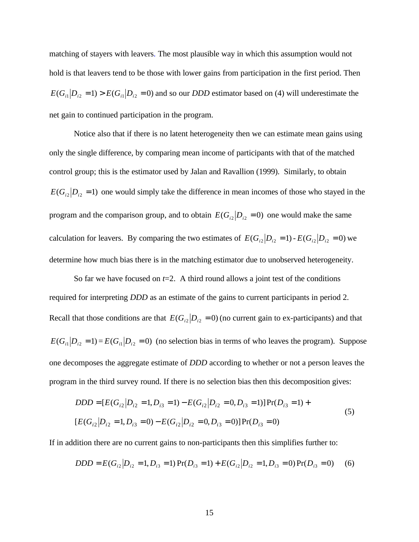matching of stayers with leavers. The most plausible way in which this assumption would not hold is that leavers tend to be those with lower gains from participation in the first period. Then  $E(G_{i}|D_{i2}=1)$  >  $E(G_{i}|D_{i2}=0)$  and so our *DDD* estimator based on (4) will underestimate the net gain to continued participation in the program.

Notice also that if there is no latent heterogeneity then we can estimate mean gains using only the single difference, by comparing mean income of participants with that of the matched control group; this is the estimator used by Jalan and Ravallion (1999). Similarly, to obtain  $E(G_{i2}|D_{i2}=1)$  one would simply take the difference in mean incomes of those who stayed in the program and the comparison group, and to obtain  $E(G_i|D_i) = 0$  one would make the same calculation for leavers. By comparing the two estimates of  $E(G_{i2}|D_{i2}=1)$  -  $E(G_{i2}|D_{i2}=0)$  we determine how much bias there is in the matching estimator due to unobserved heterogeneity.

So far we have focused on  $t=2$ . A third round allows a joint test of the conditions required for interpreting *DDD* as an estimate of the gains to current participants in period 2. Recall that those conditions are that  $E(G_i|D_i) = 0$  (no current gain to ex-participants) and that  $E(G_i|D_i=1) = E(G_i|D_i=0)$  (no selection bias in terms of who leaves the program). Suppose one decomposes the aggregate estimate of *DDD* according to whether or not a person leaves the program in the third survey round. If there is no selection bias then this decomposition gives:

$$
DDD = [E(G_{i2} | D_{i2} = 1, D_{i3} = 1) - E(G_{i2} | D_{i2} = 0, D_{i3} = 1)] Pr(D_{i3} = 1) +
$$
  
\n
$$
[E(G_{i2} | D_{i2} = 1, D_{i3} = 0) - E(G_{i2} | D_{i2} = 0, D_{i3} = 0)] Pr(D_{i3} = 0)
$$
\n(5)

If in addition there are no current gains to non-participants then this simplifies further to:

$$
DDD = E(Gi2|Di2 = 1, Di3 = 1) Pr(Di3 = 1) + E(Gi2|Di2 = 1, Di3 = 0) Pr(Di3 = 0)
$$
 (6)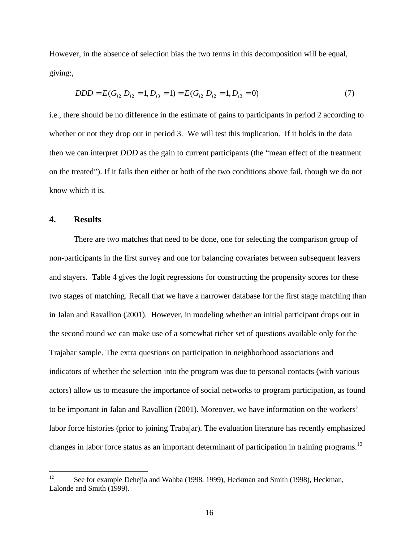However, in the absence of selection bias the two terms in this decomposition will be equal, giving:,

$$
DDD = E(G_{i2} | D_{i2} = 1, D_{i3} = 1) = E(G_{i2} | D_{i2} = 1, D_{i3} = 0)
$$
\n(7)

i.e., there should be no difference in the estimate of gains to participants in period 2 according to whether or not they drop out in period 3. We will test this implication. If it holds in the data then we can interpret *DDD* as the gain to current participants (the "mean effect of the treatment on the treated"). If it fails then either or both of the two conditions above fail, though we do not know which it is.

#### **4. Results**

There are two matches that need to be done, one for selecting the comparison group of non-participants in the first survey and one for balancing covariates between subsequent leavers and stayers. Table 4 gives the logit regressions for constructing the propensity scores for these two stages of matching. Recall that we have a narrower database for the first stage matching than in Jalan and Ravallion (2001). However, in modeling whether an initial participant drops out in the second round we can make use of a somewhat richer set of questions available only for the Trajabar sample. The extra questions on participation in neighborhood associations and indicators of whether the selection into the program was due to personal contacts (with various actors) allow us to measure the importance of social networks to program participation, as found to be important in Jalan and Ravallion (2001). Moreover, we have information on the workers' labor force histories (prior to joining Trabajar). The evaluation literature has recently emphasized changes in labor force status as an important determinant of participation in training programs.<sup>12</sup>

 $12<sup>12</sup>$ See for example Dehejia and Wahba (1998, 1999), Heckman and Smith (1998), Heckman, Lalonde and Smith (1999).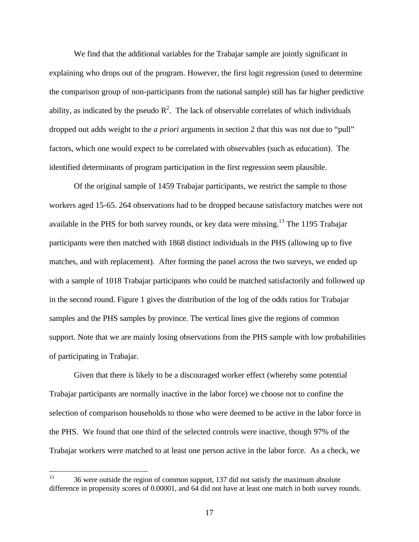We find that the additional variables for the Trabajar sample are jointly significant in explaining who drops out of the program. However, the first logit regression (used to determine the comparison group of non-participants from the national sample) still has far higher predictive ability, as indicated by the pseudo  $R^2$ . The lack of observable correlates of which individuals dropped out adds weight to the *a priori* arguments in section 2 that this was not due to "pull" factors, which one would expect to be correlated with observables (such as education). The identified determinants of program participation in the first regression seem plausible.

Of the original sample of 1459 Trabajar participants, we restrict the sample to those workers aged 15-65. 264 observations had to be dropped because satisfactory matches were not available in the PHS for both survey rounds, or key data were missing.<sup>13</sup> The 1195 Trabajar participants were then matched with 1868 distinct individuals in the PHS (allowing up to five matches, and with replacement). After forming the panel across the two surveys, we ended up with a sample of 1018 Trabajar participants who could be matched satisfactorily and followed up in the second round. Figure 1 gives the distribution of the log of the odds ratios for Trabajar samples and the PHS samples by province. The vertical lines give the regions of common support. Note that we are mainly losing observations from the PHS sample with low probabilities of participating in Trabajar.

Given that there is likely to be a discouraged worker effect (whereby some potential Trabajar participants are normally inactive in the labor force) we choose not to confine the selection of comparison households to those who were deemed to be active in the labor force in the PHS. We found that one third of the selected controls were inactive, though 97% of the Trabajar workers were matched to at least one person active in the labor force. As a check, we

<sup>13</sup> <sup>13</sup> 36 were outside the region of common support, 137 did not satisfy the maximum absolute difference in propensity scores of 0.00001, and 64 did not have at least one match in both survey rounds.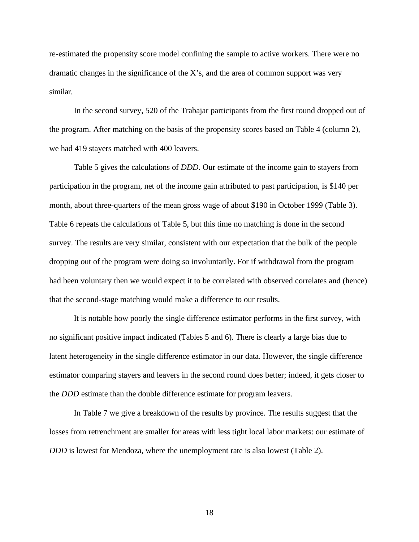re-estimated the propensity score model confining the sample to active workers. There were no dramatic changes in the significance of the  $X$ 's, and the area of common support was very similar.

In the second survey, 520 of the Trabajar participants from the first round dropped out of the program. After matching on the basis of the propensity scores based on Table 4 (column 2), we had 419 stayers matched with 400 leavers.

Table 5 gives the calculations of *DDD*. Our estimate of the income gain to stayers from participation in the program, net of the income gain attributed to past participation, is \$140 per month, about three-quarters of the mean gross wage of about \$190 in October 1999 (Table 3). Table 6 repeats the calculations of Table 5, but this time no matching is done in the second survey. The results are very similar, consistent with our expectation that the bulk of the people dropping out of the program were doing so involuntarily. For if withdrawal from the program had been voluntary then we would expect it to be correlated with observed correlates and (hence) that the second-stage matching would make a difference to our results.

It is notable how poorly the single difference estimator performs in the first survey, with no significant positive impact indicated (Tables 5 and 6). There is clearly a large bias due to latent heterogeneity in the single difference estimator in our data. However, the single difference estimator comparing stayers and leavers in the second round does better; indeed, it gets closer to the *DDD* estimate than the double difference estimate for program leavers.

In Table 7 we give a breakdown of the results by province. The results suggest that the losses from retrenchment are smaller for areas with less tight local labor markets: our estimate of *DDD* is lowest for Mendoza, where the unemployment rate is also lowest (Table 2).

18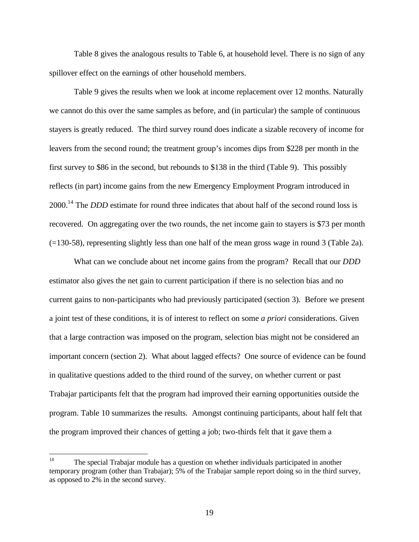Table 8 gives the analogous results to Table 6, at household level. There is no sign of any spillover effect on the earnings of other household members.

Table 9 gives the results when we look at income replacement over 12 months. Naturally we cannot do this over the same samples as before, and (in particular) the sample of continuous stayers is greatly reduced. The third survey round does indicate a sizable recovery of income for leavers from the second round; the treatment group's incomes dips from \$228 per month in the first survey to \$86 in the second, but rebounds to \$138 in the third (Table 9). This possibly reflects (in part) income gains from the new Emergency Employment Program introduced in 2000.<sup>14</sup> The *DDD* estimate for round three indicates that about half of the second round loss is recovered. On aggregating over the two rounds, the net income gain to stayers is \$73 per month (=130-58), representing slightly less than one half of the mean gross wage in round 3 (Table 2a).

What can we conclude about net income gains from the program? Recall that our *DDD* estimator also gives the net gain to current participation if there is no selection bias and no current gains to non-participants who had previously participated (section 3). Before we present a joint test of these conditions, it is of interest to reflect on some *a priori* considerations. Given that a large contraction was imposed on the program, selection bias might not be considered an important concern (section 2). What about lagged effects? One source of evidence can be found in qualitative questions added to the third round of the survey, on whether current or past Trabajar participants felt that the program had improved their earning opportunities outside the program. Table 10 summarizes the results. Amongst continuing participants, about half felt that the program improved their chances of getting a job; two-thirds felt that it gave them a

 $14$ The special Trabajar module has a question on whether individuals participated in another temporary program (other than Trabajar); 5% of the Trabajar sample report doing so in the third survey, as opposed to 2% in the second survey.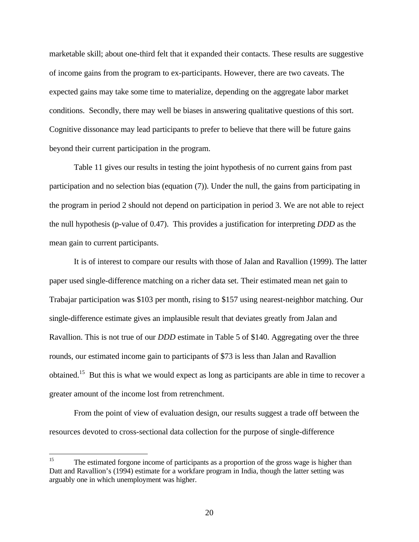marketable skill; about one-third felt that it expanded their contacts. These results are suggestive of income gains from the program to ex-participants. However, there are two caveats. The expected gains may take some time to materialize, depending on the aggregate labor market conditions. Secondly, there may well be biases in answering qualitative questions of this sort. Cognitive dissonance may lead participants to prefer to believe that there will be future gains beyond their current participation in the program.

Table 11 gives our results in testing the joint hypothesis of no current gains from past participation and no selection bias (equation (7)). Under the null, the gains from participating in the program in period 2 should not depend on participation in period 3. We are not able to reject the null hypothesis (p-value of 0.47). This provides a justification for interpreting *DDD* as the mean gain to current participants.

It is of interest to compare our results with those of Jalan and Ravallion (1999). The latter paper used single-difference matching on a richer data set. Their estimated mean net gain to Trabajar participation was \$103 per month, rising to \$157 using nearest-neighbor matching. Our single-difference estimate gives an implausible result that deviates greatly from Jalan and Ravallion. This is not true of our *DDD* estimate in Table 5 of \$140. Aggregating over the three rounds, our estimated income gain to participants of \$73 is less than Jalan and Ravallion obtained.<sup>15</sup> But this is what we would expect as long as participants are able in time to recover a greater amount of the income lost from retrenchment.

From the point of view of evaluation design, our results suggest a trade off between the resources devoted to cross-sectional data collection for the purpose of single-difference

 $15$ <sup>15</sup> The estimated forgone income of participants as a proportion of the gross wage is higher than Datt and Ravallion's (1994) estimate for a workfare program in India, though the latter setting was arguably one in which unemployment was higher.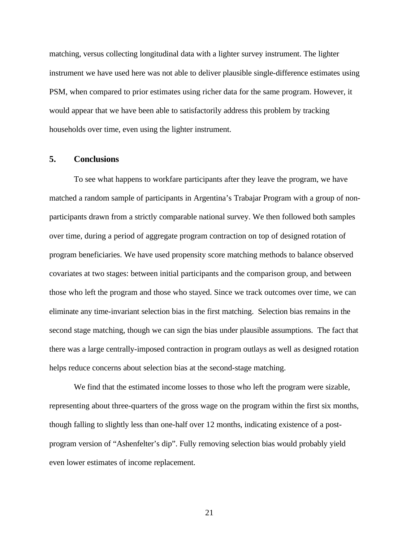matching, versus collecting longitudinal data with a lighter survey instrument. The lighter instrument we have used here was not able to deliver plausible single-difference estimates using PSM, when compared to prior estimates using richer data for the same program. However, it would appear that we have been able to satisfactorily address this problem by tracking households over time, even using the lighter instrument.

#### **5. Conclusions**

To see what happens to workfare participants after they leave the program, we have matched a random sample of participants in Argentina's Trabajar Program with a group of nonparticipants drawn from a strictly comparable national survey. We then followed both samples over time, during a period of aggregate program contraction on top of designed rotation of program beneficiaries. We have used propensity score matching methods to balance observed covariates at two stages: between initial participants and the comparison group, and between those who left the program and those who stayed. Since we track outcomes over time, we can eliminate any time-invariant selection bias in the first matching. Selection bias remains in the second stage matching, though we can sign the bias under plausible assumptions. The fact that there was a large centrally-imposed contraction in program outlays as well as designed rotation helps reduce concerns about selection bias at the second-stage matching.

We find that the estimated income losses to those who left the program were sizable, representing about three-quarters of the gross wage on the program within the first six months, though falling to slightly less than one-half over 12 months, indicating existence of a postprogram version of "Ashenfelter's dip". Fully removing selection bias would probably yield even lower estimates of income replacement.

21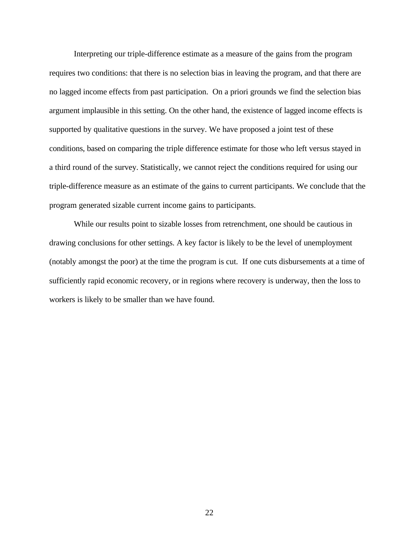Interpreting our triple-difference estimate as a measure of the gains from the program requires two conditions: that there is no selection bias in leaving the program, and that there are no lagged income effects from past participation. On a priori grounds we find the selection bias argument implausible in this setting. On the other hand, the existence of lagged income effects is supported by qualitative questions in the survey. We have proposed a joint test of these conditions, based on comparing the triple difference estimate for those who left versus stayed in a third round of the survey. Statistically, we cannot reject the conditions required for using our triple-difference measure as an estimate of the gains to current participants. We conclude that the program generated sizable current income gains to participants.

While our results point to sizable losses from retrenchment, one should be cautious in drawing conclusions for other settings. A key factor is likely to be the level of unemployment (notably amongst the poor) at the time the program is cut. If one cuts disbursements at a time of sufficiently rapid economic recovery, or in regions where recovery is underway, then the loss to workers is likely to be smaller than we have found.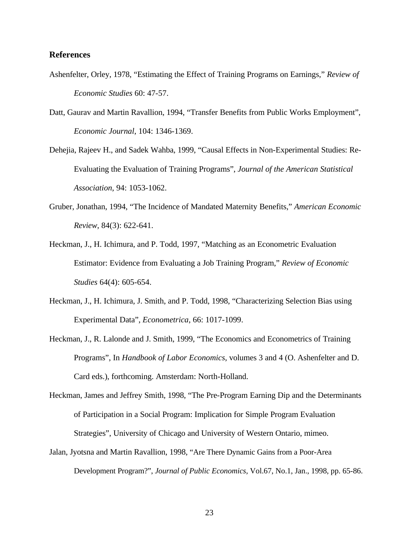#### **References**

- Ashenfelter, Orley, 1978, "Estimating the Effect of Training Programs on Earnings," *Review of Economic Studies* 60: 47-57.
- Datt, Gaurav and Martin Ravallion, 1994, "Transfer Benefits from Public Works Employment", *Economic Journal*, 104: 1346-1369.
- Dehejia, Rajeev H., and Sadek Wahba, 1999, "Causal Effects in Non-Experimental Studies: Re-Evaluating the Evaluation of Training Programs", *Journal of the American Statistical Association*, 94: 1053-1062.
- Gruber, Jonathan, 1994, "The Incidence of Mandated Maternity Benefits," *American Economic Review*, 84(3): 622-641.
- Heckman, J., H. Ichimura, and P. Todd, 1997, "Matching as an Econometric Evaluation Estimator: Evidence from Evaluating a Job Training Program," *Review of Economic Studies* 64(4): 605-654.
- Heckman, J., H. Ichimura, J. Smith, and P. Todd, 1998, "Characterizing Selection Bias using Experimental Data", *Econometrica*, 66: 1017-1099.
- Heckman, J., R. Lalonde and J. Smith, 1999, "The Economics and Econometrics of Training Programs", In *Handbook of Labor Economics*, volumes 3 and 4 (O. Ashenfelter and D. Card eds.), forthcoming. Amsterdam: North-Holland.
- Heckman, James and Jeffrey Smith, 1998, "The Pre-Program Earning Dip and the Determinants of Participation in a Social Program: Implication for Simple Program Evaluation Strategies", University of Chicago and University of Western Ontario, mimeo.
- Jalan, Jyotsna and Martin Ravallion, 1998, "Are There Dynamic Gains from a Poor-Area Development Program?", *Journal of Public Economics*, Vol.67, No.1, Jan., 1998, pp. 65-86.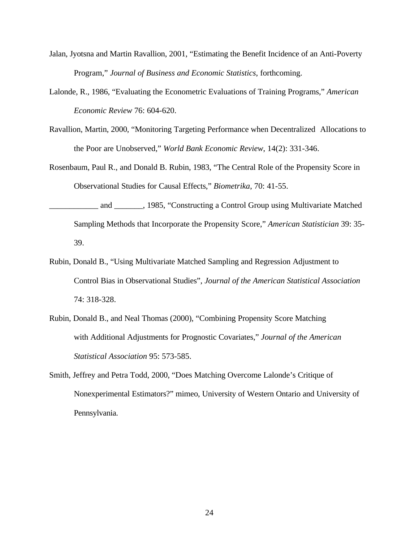- Jalan, Jyotsna and Martin Ravallion, 2001, "Estimating the Benefit Incidence of an Anti-Poverty Program," *Journal of Business and Economic Statistics*, forthcoming.
- Lalonde, R., 1986, "Evaluating the Econometric Evaluations of Training Programs," *American Economic Review* 76: 604-620.
- Ravallion, Martin, 2000, "Monitoring Targeting Performance when Decentralized Allocations to the Poor are Unobserved," *World Bank Economic Review*, 14(2): 331-346.
- Rosenbaum, Paul R., and Donald B. Rubin, 1983, "The Central Role of the Propensity Score in Observational Studies for Causal Effects," *Biometrika*, 70: 41-55.
- and 1985, "Constructing a Control Group using Multivariate Matched Sampling Methods that Incorporate the Propensity Score," *American Statistician* 39: 35- 39.
- Rubin, Donald B., "Using Multivariate Matched Sampling and Regression Adjustment to Control Bias in Observational Studies", *Journal of the American Statistical Association* 74: 318-328.
- Rubin, Donald B., and Neal Thomas (2000), "Combining Propensity Score Matching with Additional Adjustments for Prognostic Covariates," *Journal of the American Statistical Association* 95: 573-585.
- Smith, Jeffrey and Petra Todd, 2000, "Does Matching Overcome Lalonde's Critique of Nonexperimental Estimators?" mimeo, University of Western Ontario and University of Pennsylvania.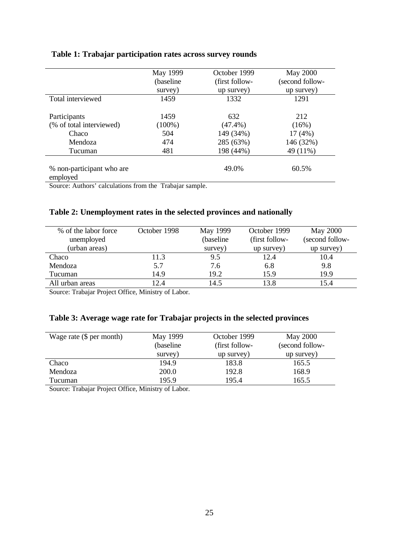## **Table 1: Trabajar participation rates across survey rounds**

|                           | May 1999   | October 1999   | <b>May 2000</b> |
|---------------------------|------------|----------------|-----------------|
|                           | (baseline) | (first follow- | (second follow- |
|                           | survey)    | up survey)     | up survey)      |
| Total interviewed         | 1459       | 1332           | 1291            |
|                           |            |                |                 |
| Participants              | 1459       | 632            | 212             |
| (% of total interviewed)  | $(100\%)$  | $(47.4\%)$     | (16%)           |
| Chaco                     | 504        | 149 (34%)      | 17(4%)          |
| Mendoza                   | 474        | 285 (63%)      | 146 (32%)       |
| Tucuman                   | 481        | 198 (44%)      | 49 (11%)        |
|                           |            |                |                 |
| % non-participant who are |            | 49.0%          | 60.5%           |
| employed                  |            |                |                 |

Source: Authors' calculations from the Trabajar sample.

## **Table 2: Unemployment rates in the selected provinces and nationally**

| % of the labor force | October 1998 | May 1999  | October 1999   | <b>May 2000</b> |
|----------------------|--------------|-----------|----------------|-----------------|
| unemployed           |              | (baseline | (first follow- | (second follow- |
| (urban areas)        |              | survey)   | up survey)     | up survey)      |
| Chaco                | 11.3         | 9.5       | 12.4           | 10.4            |
| Mendoza              | 5.7          | 7.6       | 6.8            | 9.8             |
| Tucuman              | 14.9         | 19.2      | 15.9           | 19.9            |
| All urban areas      | 12.4         | 14.5      | 13.8           | 15.4            |

Source: Trabajar Project Office, Ministry of Labor.

## **Table 3: Average wage rate for Trabajar projects in the selected provinces**

| Wage rate $(\$$ per month) | May 1999  |                | <b>May 2000</b> |
|----------------------------|-----------|----------------|-----------------|
|                            | (baseline | (first follow- | (second follow- |
|                            | survey)   | up survey)     | up survey)      |
| Chaco                      | 194.9     | 183.8          | 165.5           |
| Mendoza                    | 200.0     | 192.8          | 168.9           |
| Tucuman                    | 195.9     | 195.4          | 165.5           |

Source: Trabajar Project Office, Ministry of Labor.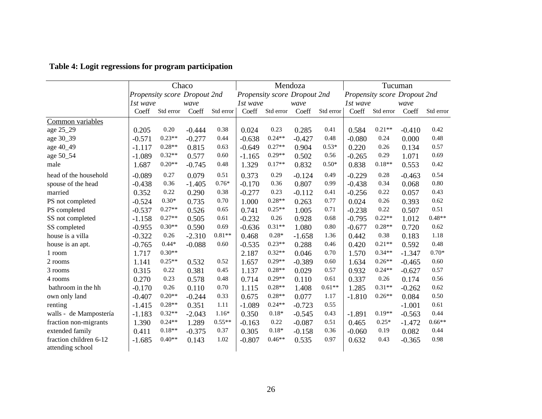|                        |          | Chaco                        |          |           | Mendoza  |           |                              | Tucuman   |          |                              |          |           |
|------------------------|----------|------------------------------|----------|-----------|----------|-----------|------------------------------|-----------|----------|------------------------------|----------|-----------|
|                        |          | Propensity score Dropout 2nd |          |           |          |           | Propensity score Dropout 2nd |           |          | Propensity score Dropout 2nd |          |           |
|                        | 1st wave |                              | wave     |           | 1st wave |           | wave                         |           | 1st wave |                              | wave     |           |
|                        | Coeff    | Std error                    | Coeff    | Std error | Coeff    | Std error | Coeff                        | Std error | Coeff    | Std error                    | Coeff    | Std error |
| Common variables       |          |                              |          |           |          |           |                              |           |          |                              |          |           |
| age 25_29              | 0.205    | 0.20                         | $-0.444$ | 0.38      | 0.024    | 0.23      | 0.285                        | 0.41      | 0.584    | $0.21**$                     | $-0.410$ | 0.42      |
| age 30_39              | $-0.571$ | $0.23**$                     | $-0.277$ | 0.44      | $-0.638$ | $0.24**$  | $-0.427$                     | 0.48      | $-0.080$ | 0.24                         | 0.000    | 0.48      |
| age 40_49              | $-1.117$ | $0.28**$                     | 0.815    | 0.63      | $-0.649$ | $0.27**$  | 0.904                        | $0.53*$   | 0.220    | 0.26                         | 0.134    | 0.57      |
| age 50_54              | $-1.089$ | $0.32**$                     | 0.577    | 0.60      | $-1.165$ | $0.29**$  | 0.502                        | 0.56      | $-0.265$ | 0.29                         | 1.071    | 0.69      |
| male                   | 1.687    | $0.20**$                     | $-0.745$ | 0.48      | 1.329    | $0.17**$  | 0.832                        | $0.50*$   | 0.838    | $0.18**$                     | 0.553    | 0.42      |
| head of the household  | $-0.089$ | 0.27                         | 0.079    | 0.51      | 0.373    | 0.29      | $-0.124$                     | 0.49      | $-0.229$ | 0.28                         | $-0.463$ | 0.54      |
| spouse of the head     | $-0.438$ | 0.36                         | $-1.405$ | $0.76*$   | $-0.170$ | 0.36      | 0.807                        | 0.99      | $-0.438$ | 0.34                         | 0.068    | 0.80      |
| married                | 0.352    | 0.22                         | 0.290    | 0.38      | $-0.277$ | 0.23      | $-0.112$                     | 0.41      | $-0.256$ | 0.22                         | 0.057    | 0.43      |
| PS not completed       | $-0.524$ | $0.30*$                      | 0.735    | 0.70      | 1.000    | $0.28**$  | 0.263                        | 0.77      | 0.024    | 0.26                         | 0.393    | 0.62      |
| PS completed           | $-0.537$ | $0.27**$                     | 0.526    | 0.65      | 0.741    | $0.25**$  | 1.005                        | 0.71      | $-0.238$ | 0.22                         | 0.507    | 0.51      |
| SS not completed       | $-1.158$ | $0.27**$                     | 0.505    | 0.61      | $-0.232$ | 0.26      | 0.928                        | 0.68      | $-0.795$ | $0.22**$                     | 1.012    | $0.48**$  |
| SS completed           | $-0.955$ | $0.30**$                     | 0.590    | 0.69      | $-0.636$ | $0.31**$  | 1.080                        | $0.80\,$  | $-0.677$ | $0.28**$                     | 0.720    | 0.62      |
| house is a villa       | $-0.322$ | 0.26                         | $-2.310$ | $0.81**$  | 0.468    | $0.28*$   | $-1.658$                     | 1.36      | 0.442    | 0.38                         | 0.183    | 1.18      |
| house is an apt.       | $-0.765$ | $0.44*$                      | $-0.088$ | 0.60      | $-0.535$ | $0.23**$  | 0.288                        | 0.46      | 0.420    | $0.21**$                     | 0.592    | 0.48      |
| 1 room                 | 1.717    | $0.30**$                     |          |           | 2.187    | $0.32**$  | 0.046                        | 0.70      | 1.570    | $0.34**$                     | $-1.347$ | $0.70*$   |
| 2 rooms                | 1.141    | $0.25**$                     | 0.532    | 0.52      | 1.657    | $0.29**$  | $-0.389$                     | 0.60      | 1.634    | $0.26**$                     | $-0.465$ | 0.60      |
| 3 rooms                | 0.315    | 0.22                         | 0.381    | 0.45      | 1.137    | $0.28**$  | 0.029                        | 0.57      | 0.932    | $0.24**$                     | $-0.627$ | 0.57      |
| 4 rooms                | 0.270    | 0.23                         | 0.578    | 0.48      | 0.714    | $0.29**$  | 0.110                        | 0.61      | 0.337    | 0.26                         | 0.174    | 0.56      |
| bathroom in the hh     | $-0.170$ | 0.26                         | 0.110    | 0.70      | 1.115    | $0.28**$  | 1.408                        | $0.61**$  | 1.285    | $0.31**$                     | $-0.262$ | 0.62      |
| own only land          | $-0.407$ | $0.20**$                     | $-0.244$ | 0.33      | 0.675    | $0.28**$  | 0.077                        | 1.17      | $-1.810$ | $0.26**$                     | 0.084    | 0.50      |
| renting                | $-1.415$ | $0.28**$                     | 0.351    | 1.11      | $-1.089$ | $0.24**$  | $-0.723$                     | 0.55      |          |                              | $-1.001$ | 0.61      |
| walls - de Mampostería | $-1.183$ | $0.32**$                     | $-2.043$ | $1.16*$   | 0.350    | $0.18*$   | $-0.545$                     | 0.43      | $-1.891$ | $0.19**$                     | $-0.563$ | 0.44      |
| fraction non-migrants  | 1.390    | $0.24**$                     | 1.289    | $0.55**$  | $-0.163$ | 0.22      | $-0.087$                     | 0.51      | 0.465    | $0.25*$                      | $-1.472$ | $0.66**$  |
| extended family        | 0.411    | $0.18**$                     | $-0.375$ | 0.37      | 0.305    | $0.18*$   | $-0.158$                     | 0.36      | $-0.060$ | 0.19                         | 0.082    | 0.44      |
| fraction children 6-12 | $-1.685$ | $0.40**$                     | 0.143    | 1.02      | $-0.807$ | $0.46**$  | 0.535                        | 0.97      | 0.632    | 0.43                         | $-0.365$ | 0.98      |
| attending school       |          |                              |          |           |          |           |                              |           |          |                              |          |           |

**Table 4: Logit regressions for program participation**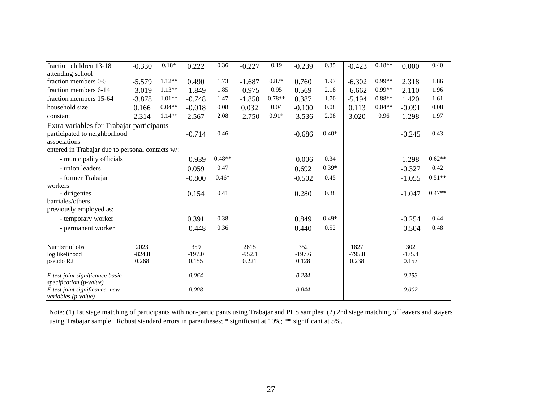| fraction children 13-18                              | $-0.330$ | $0.18*$  | 0.222    | 0.36     | $-0.227$ | 0.19     | $-0.239$ | 0.35    | $-0.423$ | $0.18**$ | 0.000    | 0.40     |
|------------------------------------------------------|----------|----------|----------|----------|----------|----------|----------|---------|----------|----------|----------|----------|
| attending school                                     |          |          |          |          |          |          |          |         |          |          |          |          |
| fraction members 0-5                                 | $-5.579$ | $1.12**$ | 0.490    | 1.73     | $-1.687$ | 0.87*    | 0.760    | 1.97    | $-6.302$ | $0.99**$ | 2.318    | 1.86     |
| fraction members 6-14                                | $-3.019$ | $1.13**$ | $-1.849$ | 1.85     | $-0.975$ | 0.95     | 0.569    | 2.18    | $-6.662$ | $0.99**$ | 2.110    | 1.96     |
| fraction members 15-64                               | $-3.878$ | $1.01**$ | $-0.748$ | 1.47     | $-1.850$ | $0.78**$ | 0.387    | 1.70    | $-5.194$ | $0.88**$ | 1.420    | 1.61     |
| household size                                       | 0.166    | $0.04**$ | $-0.018$ | 0.08     | 0.032    | 0.04     | $-0.100$ | 0.08    | 0.113    | $0.04**$ | $-0.091$ | 0.08     |
| constant                                             | 2.314    | $1.14**$ | 2.567    | 2.08     | $-2.750$ | $0.91*$  | $-3.536$ | 2.08    | 3.020    | 0.96     | 1.298    | 1.97     |
| Extra variables for Trabajar participants            |          |          |          |          |          |          |          |         |          |          |          |          |
| participated to neighborhood                         |          |          | $-0.714$ | 0.46     |          |          | $-0.686$ | $0.40*$ |          |          | $-0.245$ | 0.43     |
| associations                                         |          |          |          |          |          |          |          |         |          |          |          |          |
| entered in Trabajar due to personal contacts w/:     |          |          |          |          |          |          |          |         |          |          |          |          |
| - municipality officials                             |          |          | $-0.939$ | $0.48**$ |          |          | $-0.006$ | 0.34    |          |          | 1.298    | $0.62**$ |
| - union leaders                                      |          |          | 0.059    | 0.47     |          |          | 0.692    | $0.39*$ |          |          | $-0.327$ | 0.42     |
| - former Trabajar                                    |          |          | $-0.800$ | $0.46*$  |          |          | $-0.502$ | 0.45    |          |          | $-1.055$ | $0.51**$ |
| workers                                              |          |          |          |          |          |          |          |         |          |          |          |          |
| - dirigentes                                         |          |          | 0.154    | 0.41     |          |          | 0.280    | 0.38    |          |          | $-1.047$ | $0.47**$ |
| barriales/others                                     |          |          |          |          |          |          |          |         |          |          |          |          |
| previously employed as:                              |          |          |          |          |          |          |          |         |          |          |          |          |
| - temporary worker                                   |          |          | 0.391    | 0.38     |          |          | 0.849    | $0.49*$ |          |          | $-0.254$ | 0.44     |
| - permanent worker                                   |          |          | $-0.448$ | 0.36     |          |          | 0.440    | 0.52    |          |          | $-0.504$ | 0.48     |
|                                                      |          |          |          |          |          |          |          |         |          |          |          |          |
| Number of obs                                        | 2023     |          | 359      |          | 2615     |          | 352      |         | 1827     |          | 302      |          |
| log likelihood                                       | $-824.8$ |          | $-197.0$ |          | $-952.1$ |          | $-197.6$ |         | $-795.8$ |          | $-175.4$ |          |
| pseudo R2                                            | 0.268    |          | 0.155    |          | 0.221    |          | 0.128    |         | 0.238    |          | 0.157    |          |
| F-test joint significance basic                      |          |          | 0.064    |          |          |          | 0.284    |         |          |          | 0.253    |          |
| specification (p-value)                              |          |          |          |          |          |          |          |         |          |          |          |          |
| F-test joint significance new<br>variables (p-value) |          |          | 0.008    |          |          |          | 0.044    |         |          |          | 0.002    |          |

Note: (1) 1st stage matching of participants with non-participants using Trabajar and PHS samples; (2) 2nd stage matching of leavers and stayers using Trabajar sample. Robust standard errors in parentheses; \* significant at 10%; \*\* significant at 5%.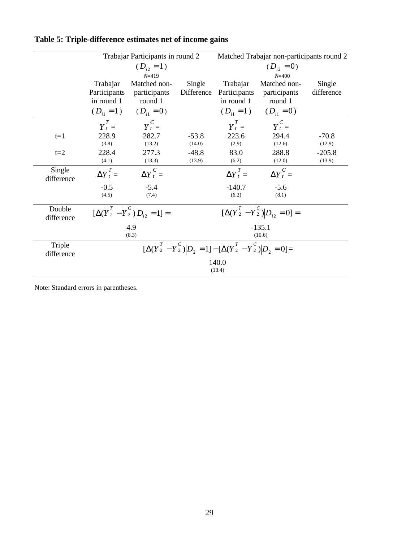|                      |                             | Trabajar Participants in round 2                                           |                      | Matched Trabajar non-participants round 2                                                                         |                                                                           |                      |  |  |
|----------------------|-----------------------------|----------------------------------------------------------------------------|----------------------|-------------------------------------------------------------------------------------------------------------------|---------------------------------------------------------------------------|----------------------|--|--|
|                      |                             | $(D_{i2} = 1)$                                                             |                      |                                                                                                                   | $(D_{i2}=0)$                                                              |                      |  |  |
|                      | Trabajar<br>Participants    | $N = 419$<br>Matched non-<br>participants                                  | Single<br>Difference | Trabajar<br>Participants                                                                                          | $N = 400$<br>Matched non-<br>participants                                 | Single<br>difference |  |  |
|                      | in round 1                  | round 1<br>$(D_{i1} = 1)$ $(D_{i1} = 0)$                                   |                      | in round 1                                                                                                        | round 1<br>$(D_{i1} = 1)$ $(D_{i1} = 0)$                                  |                      |  |  |
|                      | $-T$<br>$Y_t =$             | $-c$<br>$Y_t =$                                                            |                      | $-\overline{T}$<br>$Y_t =$                                                                                        | $-c$<br>$Y_t =$                                                           |                      |  |  |
| $t=1$                | 228.9<br>(3.8)              | 282.7<br>(13.2)                                                            | $-53.8$<br>(14.0)    | 223.6<br>(2.9)                                                                                                    | 294.4<br>(12.6)                                                           | $-70.8$<br>(12.9)    |  |  |
| $t=2$                | 228.4<br>(4.1)              | 277.3<br>(13.3)                                                            | $-48.8$<br>(13.9)    | 83.0<br>(6.2)                                                                                                     | 288.8<br>(12.0)                                                           | $-205.8$<br>(13.9)   |  |  |
| Single<br>difference | $\overline{\Delta Y}^T_t =$ | $\overline{\Delta Y}^C_t =$                                                |                      | $\overline{\Delta Y}^T_t =$                                                                                       | $\overline{\Delta Y}^C_t =$                                               |                      |  |  |
|                      | $-0.5$<br>(4.5)             | $-5.4$<br>(7.4)                                                            |                      | $-140.7$<br>(6.2)                                                                                                 | $-5.6$<br>(8.1)                                                           |                      |  |  |
| Double<br>difference |                             | $\overline{[\Delta(\overline{Y}_{2}^{T}-\overline{Y}_{2}^{C}) D_{i2}}=1]=$ |                      |                                                                                                                   | $\frac{1}{[\Delta(\overline{Y}_{2}^{T}-\overline{Y}_{2}^{C}) D_{i2}=0]}=$ |                      |  |  |
|                      |                             | 4.9<br>(8.3)                                                               |                      |                                                                                                                   | $-135.1$<br>(10.6)                                                        |                      |  |  |
| Triple<br>difference |                             |                                                                            |                      | $[\Delta(\overline{Y}_2^T - \overline{Y}_2^C) D_2 = 1] - [\Delta(\overline{Y}_2^T - \overline{Y}_2^C) D_2 = 0] =$ |                                                                           |                      |  |  |
|                      |                             |                                                                            |                      | 140.0<br>(13.4)                                                                                                   |                                                                           |                      |  |  |

# **Table 5: Triple-difference estimates net of income gains**

Note: Standard errors in parentheses.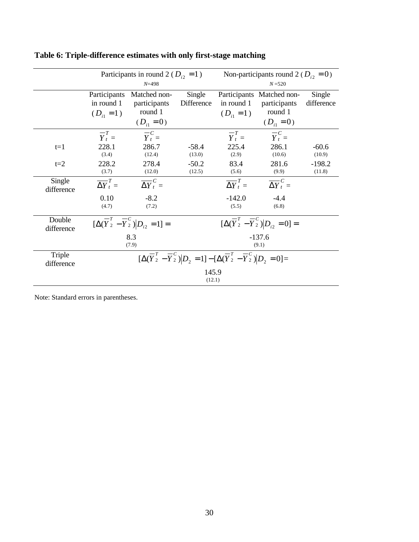|                      |                                             | Participants in round 2 ( $D_{i2} = 1$ )<br>$N = 498$                           |                      | Non-participants round 2 ( $D_{i2} = 0$ )<br>$N = 520$                                                                                     |                                                                                  |                      |
|----------------------|---------------------------------------------|---------------------------------------------------------------------------------|----------------------|--------------------------------------------------------------------------------------------------------------------------------------------|----------------------------------------------------------------------------------|----------------------|
|                      | Participants<br>in round 1<br>$(D_{i_1}=1)$ | Matched non-<br>participants<br>round 1<br>$(D_{i1}=0)$                         | Single<br>Difference | in round 1<br>$(D_{i1} = 1)$                                                                                                               | Participants Matched non-<br>participants<br>round 1<br>$(D_{i1}=0)$             | Single<br>difference |
|                      | $\overline{Y}_t^T =$                        | $\overline{Y}_t^C$                                                              |                      | $\overline{Y}_t^T =$                                                                                                                       | $\overline{Y}_t^C =$                                                             |                      |
| $t=1$                | 228.1<br>(3.4)                              | 286.7<br>(12.4)                                                                 | $-58.4$<br>(13.0)    | 225.4<br>(2.9)                                                                                                                             | 286.1<br>(10.6)                                                                  | $-60.6$<br>(10.9)    |
| $t=2$                | 228.2<br>(3.7)                              | 278.4<br>(12.0)                                                                 | $-50.2$<br>(12.5)    | 83.4<br>(5.6)                                                                                                                              | 281.6<br>(9.9)                                                                   | $-198.2$<br>(11.8)   |
| Single<br>difference | $\overline{\Delta Y}_t^T =$                 | $\overline{\Delta Y}^C_t =$                                                     |                      | $\overline{\Delta Y}^T_t =$                                                                                                                | $\overline{\Delta Y}^C_t =$                                                      |                      |
|                      | 0.10<br>(4.7)                               | $-8.2$<br>(7.2)                                                                 |                      | $-142.0$<br>(5.5)                                                                                                                          | $-4.4$<br>(6.8)                                                                  |                      |
| Double<br>difference |                                             | $\overline{\lfloor \Delta(\overline{Y}_2^T - \overline{Y}_2^C)}  D_{i2} = 1] =$ |                      |                                                                                                                                            | $\overline{[\Delta(\overline{Y}_{2}^{T} - \overline{Y}_{2}^{C})]} D_{i2} = 0] =$ |                      |
|                      |                                             | 8.3<br>(7.9)                                                                    |                      | $-137.6$<br>(9.1)                                                                                                                          |                                                                                  |                      |
| Triple<br>difference |                                             |                                                                                 |                      | $\overline{[\Delta(\overline{Y}_2^T - \overline{Y}_2^C)]} \vert D_2 = 1] - [\Delta(\overline{Y}_2^T - \overline{Y}_2^C)] \vert D_2 = 0] =$ |                                                                                  |                      |
|                      |                                             |                                                                                 | 145.9<br>(12.1)      |                                                                                                                                            |                                                                                  |                      |

# **Table 6: Triple-difference estimates with only first-stage matching**

Note: Standard errors in parentheses.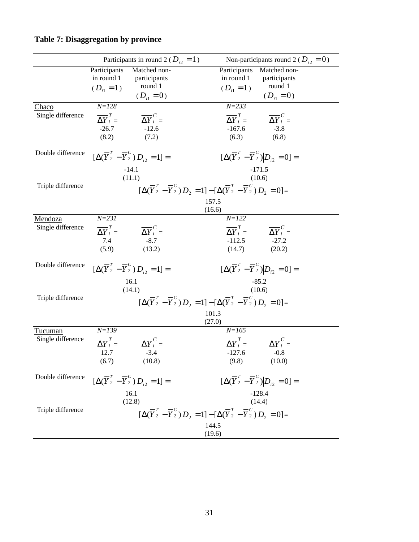|                                     | Participants in round 2 ( $D_{i2} = 1$ )                                                                        | Non-participants round 2 ( $D_{i2} = 0$ )                                                                                                                          |
|-------------------------------------|-----------------------------------------------------------------------------------------------------------------|--------------------------------------------------------------------------------------------------------------------------------------------------------------------|
|                                     | Participants<br>Matched non-<br>in round 1<br>participants<br>round 1<br>$(D_{i1}=1)$<br>$(D_{i1} = 0)$         | Participants<br>Matched non-<br>in round 1<br>participants<br>round 1<br>$(D_{i1}=1)$<br>$(D_{i1} = 0)$                                                            |
| Chaco<br>Single difference          | $N = 128$<br>$\overline{\Delta Y}^T_t$ =<br>$\overline{\Delta Y}^C_t =$<br>$-26.7$<br>$-12.6$<br>(8.2)<br>(7.2) | $N = 233$<br>$\overline{\Delta Y}^T_t$ =<br>$\overline{\Delta Y}^C_t =$<br>$-167.6$<br>$-3.8$<br>(6.8)<br>(6.3)                                                    |
| Double difference                   | $[\Delta(\overline{Y}_{2}^{T} - \overline{Y}_{2}^{C})]D_{i2} = 1] =$<br>$-14.1$                                 | $[\Delta(\overline{Y}_2^T - \overline{Y}_2^C) D_{i2} = 0] =$<br>$-171.5$                                                                                           |
| Triple difference                   | (11.1)                                                                                                          | (10.6)<br>$[\Delta(\overline{Y}_{2}^{T} - \overline{Y}_{2}^{C})]D_{2} = 1] - [\Delta(\overline{Y}_{2}^{T} - \overline{Y}_{2}^{C})]D_{2} = 0] =$<br>157.5<br>(16.6) |
| <b>Mendoza</b><br>Single difference | $N = 231$<br>$\overline{\Delta Y}^T_t$ =<br>$\overline{\Delta Y}^C_t =$<br>$-8.7$<br>7.4<br>(5.9)<br>(13.2)     | $N = 122$<br>$\overline{\Delta Y}^T_t = \overline{\Delta Y}^C_t =$<br>$-27.2$<br>$-112.5$<br>(14.7)<br>(20.2)                                                      |
| Double difference                   | $[\Delta(\overline{Y}_{2}^{T} - \overline{Y}_{2}^{C})]D_{i2} = 1] =$<br>16.1<br>(14.1)                          | $[\Delta(\overline{Y}_2^T - \overline{Y}_2^C)]D_{i2} = 0] =$<br>$-85.2$<br>(10.6)                                                                                  |
| Triple difference                   |                                                                                                                 | $[\Delta(\overline{Y}_2^T - \overline{Y}_2^C) D_2 = 1] - [\Delta(\overline{Y}_2^T - \overline{Y}_2^C) D_2 = 0] =$<br>101.3<br>(27.0)                               |
| Tucuman<br>Single difference        | $N = 139$<br>$\overline{\Delta Y}^T_t$ =<br>$\overline{\Delta Y}^C_t =$<br>12.7<br>$-3.4$<br>(6.7)<br>(10.8)    | $N = 165$<br>$\overline{\Delta Y}_{t}^{T} = \overline{\Delta Y}_{t}^{C} =$<br>$-127.6$<br>$-0.8$<br>(9.8)<br>(10.0)                                                |
| Double difference                   | $[\Delta(\overline{Y}_2^T - \overline{Y}_2^C) D_{i2} = 1] =$<br>16.1                                            | $[\Delta(\overline{Y}_2^T - \overline{Y}_2^C)]D_{i2} = 0] =$<br>$-128.4$                                                                                           |
| Triple difference                   | (12.8)                                                                                                          | (14.4)<br>$[\Delta(\overline{Y}_2^T - \overline{Y}_2^c)]D_2 = 1] - [\Delta(\overline{Y}_2^T - \overline{Y}_2^c)]D_2 = 0] =$<br>144.5<br>(19.6)                     |

# **Table 7: Disaggregation by province**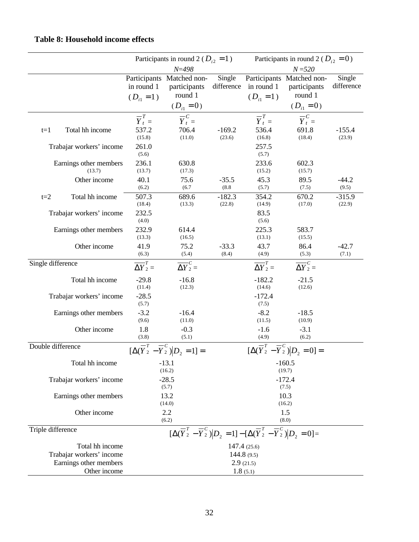|                   |                                                                       |                                         | Participants in round 2 ( $D_{i2} = 1$ )                                                                          |                      |                                            | Participants in round 2 ( $D_{i2} = 0$ )                               |                      |
|-------------------|-----------------------------------------------------------------------|-----------------------------------------|-------------------------------------------------------------------------------------------------------------------|----------------------|--------------------------------------------|------------------------------------------------------------------------|----------------------|
|                   |                                                                       |                                         | $N = 498$                                                                                                         |                      |                                            | $N = 520$                                                              |                      |
|                   |                                                                       | in round 1<br>$(D_{i1} = 1)$            | Participants Matched non-<br>participants<br>round 1<br>$(D_{i1} = 0)$                                            | Single<br>difference | in round 1<br>$(D_{i1} = 1)$               | Participants Matched non-<br>participants<br>round 1<br>$(D_{i1} = 0)$ | Single<br>difference |
| $t=1$             | Total hh income                                                       | $\overline{Y}_t^T =$<br>537.2<br>(15.8) | $\overline{Y}^C_t$<br>706.4<br>(11.0)                                                                             | $-169.2$<br>(23.6)   | $\overline{Y}_t^T =$<br>536.4<br>(16.8)    | $\overline{Y}_t^C$<br>691.8<br>(18.4)                                  | $-155.4$<br>(23.9)   |
|                   | Trabajar workers' income                                              | 261.0<br>(5.6)                          |                                                                                                                   |                      | 257.5<br>(5.7)                             |                                                                        |                      |
|                   | Earnings other members<br>(13.7)                                      | 236.1<br>(13.7)                         | 630.8<br>(17.3)                                                                                                   |                      | 233.6<br>(15.2)                            | 602.3<br>(15.7)                                                        |                      |
|                   | Other income                                                          | 40.1<br>(6.2)                           | 75.6<br>(6.7)                                                                                                     | $-35.5$<br>(8.8)     | 45.3<br>(5.7)                              | 89.5<br>(7.5)                                                          | $-44.2$<br>(9.5)     |
| $t=2$             | Total hh income                                                       | 507.3<br>(18.4)                         | 689.6<br>(13.3)                                                                                                   | $-182.3$<br>(22.8)   | 354.2<br>(14.9)                            | 670.2<br>(17.0)                                                        | $-315.9$<br>(22.9)   |
|                   | Trabajar workers' income                                              | 232.5<br>(4.0)                          |                                                                                                                   |                      | 83.5<br>(5.6)                              |                                                                        |                      |
|                   | Earnings other members                                                | 232.9<br>(13.3)                         | 614.4<br>(16.5)                                                                                                   |                      | 225.3<br>(13.1)                            | 583.7<br>(15.5)                                                        |                      |
|                   | Other income                                                          | 41.9<br>(6.3)                           | 75.2<br>(5.4)                                                                                                     | $-33.3$<br>(8.4)     | 43.7<br>(4.9)                              | 86.4<br>(5.3)                                                          | $-42.7$<br>(7.1)     |
| Single difference |                                                                       | $\overline{\Delta Y}^T_2$ =             | $\overline{\Delta Y}^c_2 =$                                                                                       |                      | $\overline{\Delta Y}^T_2 =$                | $\overline{\Delta Y}^C_2 =$                                            |                      |
|                   | Total hh income                                                       | $-29.8$<br>(11.4)                       | $-16.8$<br>(12.3)                                                                                                 |                      | $-182.2$<br>(14.6)                         | $-21.5$<br>(12.6)                                                      |                      |
|                   | Trabajar workers' income                                              | $-28.5$<br>(5.7)                        |                                                                                                                   |                      | $-172.4$<br>(7.5)                          |                                                                        |                      |
|                   | Earnings other members                                                | $-3.2$<br>(9.6)                         | $-16.4$<br>(11.0)                                                                                                 |                      | $-8.2$<br>(11.5)                           | $-18.5$<br>(10.9)                                                      |                      |
|                   | Other income                                                          | 1.8<br>(3.8)                            | $-0.3$<br>(5.1)                                                                                                   |                      | $-1.6$<br>(4.9)                            | $-3.1$<br>(6.2)                                                        |                      |
| Double difference |                                                                       |                                         | $\overline{\lfloor \Delta(\overline{Y}_2^T - \overline{Y}_2^C) \rfloor} D_2 = 1] =$                               |                      |                                            | $\overline{[\Delta(\overline{Y}_2^T - \overline{Y}_2^C)]}D_2 = 0] =$   |                      |
|                   | Total hh income                                                       |                                         | $-13.1$<br>(16.2)                                                                                                 |                      |                                            | $-160.5$<br>(19.7)                                                     |                      |
|                   | Trabajar workers' income                                              |                                         | $-28.5$<br>(5.7)                                                                                                  |                      |                                            | $-172.4$<br>(7.5)                                                      |                      |
|                   | Earnings other members                                                |                                         | 13.2<br>(14.0)                                                                                                    |                      |                                            | 10.3<br>(16.2)                                                         |                      |
|                   | Other income                                                          |                                         | 2.2<br>(6.2)                                                                                                      |                      |                                            | 1.5<br>(8.0)                                                           |                      |
| Triple difference |                                                                       |                                         | $[\Delta(\overline{Y}_2^T - \overline{Y}_2^c) D_2 = 1] - [\Delta(\overline{Y}_2^T - \overline{Y}_2^c) D_2 = 0] =$ |                      |                                            |                                                                        |                      |
|                   | Total hh income<br>Trabajar workers' income<br>Earnings other members |                                         |                                                                                                                   |                      | 147.4 (25.6)<br>144.8 $(9.5)$<br>2.9(21.5) |                                                                        |                      |
|                   | Other income                                                          |                                         |                                                                                                                   |                      | 1.8(5.1)                                   |                                                                        |                      |

## **Table 8: Household income effects**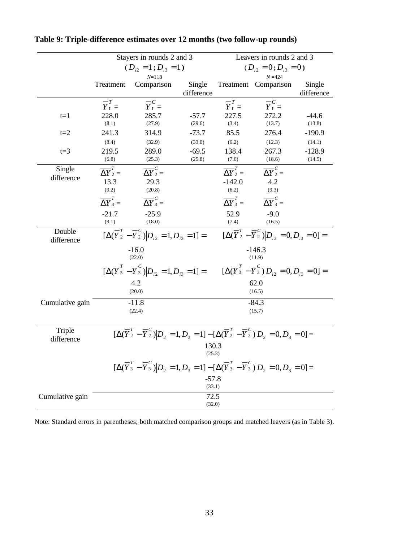|                      | Stayers in rounds 2 and 3   |                                                                                                                                                 |            | Leavers in rounds 2 and 3   |                             |            |  |
|----------------------|-----------------------------|-------------------------------------------------------------------------------------------------------------------------------------------------|------------|-----------------------------|-----------------------------|------------|--|
|                      | $(D_{i2} = 1; D_{i3} = 1)$  |                                                                                                                                                 |            | $(D_{i2} = 0; D_{i3} = 0)$  |                             |            |  |
|                      |                             | $N = 118$                                                                                                                                       |            |                             | $N = 424$                   |            |  |
|                      | Treatment                   | Comparison                                                                                                                                      | Single     |                             | Treatment Comparison        | Single     |  |
|                      |                             |                                                                                                                                                 | difference |                             |                             | difference |  |
|                      | $\overline{Y}_t^T =$        | $\overline{Y}_t^c$                                                                                                                              |            | $\overline{Y}_t^T =$        | $\overline{Y}_t^C$          |            |  |
| $t=1$                | 228.0                       | 285.7                                                                                                                                           | $-57.7$    | 227.5                       | 272.2                       | $-44.6$    |  |
|                      | (8.1)                       | (27.9)                                                                                                                                          | (29.6)     | (3.4)                       | (13.7)                      | (13.8)     |  |
| $t=2$                | 241.3                       | 314.9                                                                                                                                           | $-73.7$    | 85.5                        | 276.4                       | $-190.9$   |  |
|                      | (8.4)                       | (32.9)                                                                                                                                          | (33.0)     | (6.2)                       | (12.3)                      | (14.1)     |  |
| $t=3$                | 219.5                       | 289.0                                                                                                                                           | $-69.5$    | 138.4                       | 267.3                       | $-128.9$   |  |
|                      | (6.8)                       | (25.3)                                                                                                                                          | (25.8)     | (7.0)                       | (18.6)                      | (14.5)     |  |
| Single               | $\overline{\Delta Y}^T_2$ = | $\overline{\Delta Y}^C_2 =$                                                                                                                     |            | $\overline{\Delta Y}^T_2 =$ | $\overline{\Delta Y}^c_2 =$ |            |  |
| difference           | 13.3                        | 29.3                                                                                                                                            |            | $-142.0$                    | 4.2                         |            |  |
|                      | (9.2)                       | (20.8)                                                                                                                                          |            | (6.2)                       | (9.3)                       |            |  |
|                      | $\overline{\Delta Y}^T_3 =$ | $\overline{\Delta Y}^C_3 =$                                                                                                                     |            | $\overline{\Delta Y}^T_3 =$ | $\overline{\Delta Y}^C_3 =$ |            |  |
|                      | $-21.7$                     | $-25.9$                                                                                                                                         |            | 52.9                        | $-9.0$                      |            |  |
|                      |                             | (18.0)                                                                                                                                          |            |                             | (16.5)                      |            |  |
| Double<br>difference |                             | $[\Delta(\overline{Y}_2^T - \overline{Y}_2^C) D_{i2} = 1, D_{i3} = 1] = [\Delta(\overline{Y}_2^T - \overline{Y}_2^C) D_{i2} = 0, D_{i3} = 0] =$ |            |                             |                             |            |  |
|                      |                             | $-16.0$<br>(22.0)                                                                                                                               |            |                             | $-146.3$<br>(11.9)          |            |  |
|                      |                             | $[\Delta(\overline{Y}_3^T - \overline{Y}_3^C)]D_{i2} = 1, D_{i3} = 1] = [\Delta(\overline{Y}_3^T - \overline{Y}_3^C)]D_{i2} = 0, D_{i3} = 0] =$ |            |                             |                             |            |  |
|                      |                             | 4.2                                                                                                                                             |            |                             | 62.0                        |            |  |
|                      |                             | (20.0)                                                                                                                                          |            |                             | (16.5)                      |            |  |
| Cumulative gain      |                             | $-11.8$                                                                                                                                         |            |                             | $-84.3$                     |            |  |
|                      |                             | (22.4)                                                                                                                                          |            |                             | (15.7)                      |            |  |
|                      |                             |                                                                                                                                                 |            |                             |                             |            |  |
| Triple               |                             | $[\Delta(\overline{Y}_2^T - \overline{Y}_2^C) D_2 = 1, D_3 = 1] - [\Delta(\overline{Y}_2^T - \overline{Y}_2^C) D_2 = 0, D_3 = 0] =$             |            |                             |                             |            |  |
| difference           |                             |                                                                                                                                                 | 130.3      |                             |                             |            |  |
|                      |                             |                                                                                                                                                 | (25.3)     |                             |                             |            |  |
|                      |                             | $[\Delta(\overline{Y}_3^T - \overline{Y}_3^C)]D_2 = 1, D_3 = 1] - [\Delta(\overline{Y}_3^T - \overline{Y}_3^C)]D_2 = 0, D_3 = 0] =$             |            |                             |                             |            |  |
|                      |                             |                                                                                                                                                 | $-57.8$    |                             |                             |            |  |
|                      |                             |                                                                                                                                                 | (33.1)     |                             |                             |            |  |
| Cumulative gain      |                             |                                                                                                                                                 | 72.5       |                             |                             |            |  |
|                      |                             |                                                                                                                                                 | (32.0)     |                             |                             |            |  |

**Table 9: Triple-difference estimates over 12 months (two follow-up rounds)**

Note: Standard errors in parentheses; both matched comparison groups and matched leavers (as in Table 3).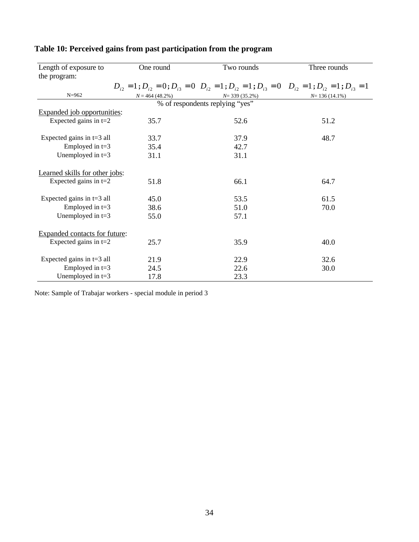| Length of exposure to          | One round         | Two rounds                                                                                                                       | Three rounds    |
|--------------------------------|-------------------|----------------------------------------------------------------------------------------------------------------------------------|-----------------|
| the program:                   |                   |                                                                                                                                  |                 |
|                                |                   | $D_{i2} = 1$ ; $D_{i3} = 0$ ; $D_{i3} = 0$ $D_{i2} = 1$ ; $D_{i3} = 1$ ; $D_{i3} = 0$ $D_{i3} = 1$ ; $D_{i3} = 1$ ; $D_{i3} = 1$ |                 |
| $N = 962$                      | $N = 464(48.2\%)$ | $N=$ 339 (35.2%)                                                                                                                 | $N=136(14.1\%)$ |
|                                |                   | % of respondents replying "yes"                                                                                                  |                 |
| Expanded job opportunities:    |                   |                                                                                                                                  |                 |
| Expected gains in $t=2$        | 35.7              | 52.6                                                                                                                             | 51.2            |
|                                |                   |                                                                                                                                  |                 |
| Expected gains in $t=3$ all    | 33.7              | 37.9                                                                                                                             | 48.7            |
| Employed in $t=3$              | 35.4              | 42.7                                                                                                                             |                 |
| Unemployed in $t=3$            | 31.1              | 31.1                                                                                                                             |                 |
|                                |                   |                                                                                                                                  |                 |
| Learned skills for other jobs: |                   |                                                                                                                                  |                 |
| Expected gains in $t=2$        | 51.8              | 66.1                                                                                                                             | 64.7            |
| Expected gains in $t=3$ all    | 45.0              | 53.5                                                                                                                             | 61.5            |
| Employed in $t=3$              | 38.6              | 51.0                                                                                                                             | 70.0            |
| Unemployed in $t=3$            | 55.0              | 57.1                                                                                                                             |                 |
|                                |                   |                                                                                                                                  |                 |
| Expanded contacts for future:  |                   |                                                                                                                                  |                 |
| Expected gains in $t=2$        | 25.7              | 35.9                                                                                                                             | 40.0            |
|                                |                   |                                                                                                                                  |                 |
| Expected gains in $t=3$ all    | 21.9              | 22.9                                                                                                                             | 32.6            |
| Employed in $t=3$              | 24.5              | 22.6                                                                                                                             | 30.0            |
| Unemployed in $t=3$            | 17.8              | 23.3                                                                                                                             |                 |

## **Table 10: Perceived gains from past participation from the program**

Note: Sample of Trabajar workers - special module in period 3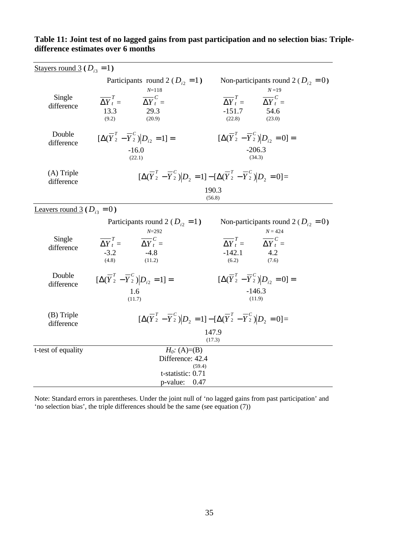| Stayers round 3 ( $D_{i3} = 1$ ) |                                                                                                             |                                                                                                                            |  |  |  |
|----------------------------------|-------------------------------------------------------------------------------------------------------------|----------------------------------------------------------------------------------------------------------------------------|--|--|--|
|                                  | Participants round 2 ( $D_{i2} = 1$ )                                                                       | Non-participants round 2 ( $D_{i2} = 0$ )                                                                                  |  |  |  |
| Single<br>difference             | $N = 118$<br>$\overline{\Delta Y}^T_t =$<br>$\overline{\Delta Y}^C_t =$<br>13.3<br>29.3<br>(9.2)<br>(20.9)  | $N = 19$<br>$\overline{\Delta Y}^T_t =$<br>$\overline{\Delta Y}^C_t =$<br>$-151.7$<br>54.6<br>(22.8)<br>(23.0)             |  |  |  |
| Double<br>difference             | $[\Delta(\overline{Y}_{2}^{T} - \overline{Y}_{2}^{C})]D_{i2} = 1] =$<br>$-16.0$<br>(22.1)                   | $[\Delta(\overline{Y}_2^T - \overline{Y}_2^C) D_{i2} = 0] =$<br>$-206.3$<br>(34.3)                                         |  |  |  |
| $(A)$ Triple<br>difference       |                                                                                                             | $[\Delta(\overline{Y}_2^T - \overline{Y}_2^C) D_2 = 1] - [\Delta(\overline{Y}_2^T - \overline{Y}_2^C) D_2 = 0] =$<br>190.3 |  |  |  |
|                                  |                                                                                                             | (56.8)                                                                                                                     |  |  |  |
| Leavers round 3 ( $D_{i3} = 0$ ) |                                                                                                             |                                                                                                                            |  |  |  |
| Single                           | Participants round 2 ( $D_{i2} = 1$ )<br>$N = 292$<br>$\overline{\Delta Y}_t^T = \overline{\Delta Y}_t^C =$ | Non-participants round 2 ( $D_{i2} = 0$ )<br>$N = 424$<br>$\overline{\Delta Y}_t^T = \overline{\Delta Y}_t^C =$            |  |  |  |
| difference                       | $-3.2$<br>$-4.8$<br>(4.8)<br>(11.2)                                                                         | $-142.1$<br>4.2<br>(6.2)<br>(7.6)                                                                                          |  |  |  |
| Double<br>difference             | $[\Delta(\overline{Y}_{2}^{T} - \overline{Y}_{2}^{C})]D_{i2} = 1] =$<br>1.6                                 | $[\Delta(\overline{Y}_2^T - \overline{Y}_2^C)]D_{i2} = 0] =$<br>$-146.3$                                                   |  |  |  |
|                                  | (11.7)                                                                                                      | (11.9)                                                                                                                     |  |  |  |
| (B) Triple<br>difference         |                                                                                                             | $[\Delta(\overline{Y}_2^T - \overline{Y}_2^C)]D_2 = 1] - [\Delta(\overline{Y}_2^T - \overline{Y}_2^C)]D_2 = 0] =$          |  |  |  |
|                                  |                                                                                                             | 147.9<br>(17.3)                                                                                                            |  |  |  |
| t-test of equality               | $H_0$ : (A)=(B)<br>Difference: 42.4<br>(59.4)<br>t-statistic: 0.71                                          |                                                                                                                            |  |  |  |
|                                  | $p$ -value: $0.47$                                                                                          |                                                                                                                            |  |  |  |

## **Table 11: Joint test of no lagged gains from past participation and no selection bias: Tripledifference estimates over 6 months**

Note: Standard errors in parentheses. Under the joint null of 'no lagged gains from past participation' and 'no selection bias', the triple differences should be the same (see equation (7))